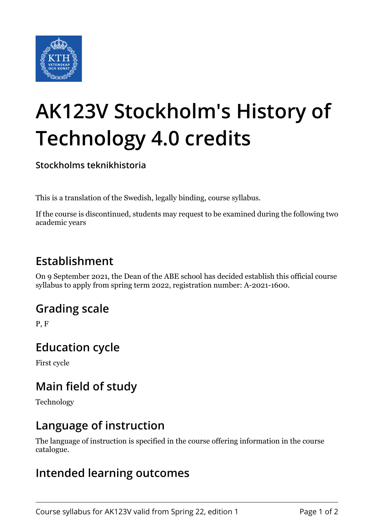

# **AK123V Stockholm's History of Technology 4.0 credits**

**Stockholms teknikhistoria**

This is a translation of the Swedish, legally binding, course syllabus.

If the course is discontinued, students may request to be examined during the following two academic years

## **Establishment**

On 9 September 2021, the Dean of the ABE school has decided establish this official course syllabus to apply from spring term 2022, registration number: A-2021-1600.

## **Grading scale**

P, F

### **Education cycle**

First cycle

## **Main field of study**

Technology

### **Language of instruction**

The language of instruction is specified in the course offering information in the course catalogue.

### **Intended learning outcomes**